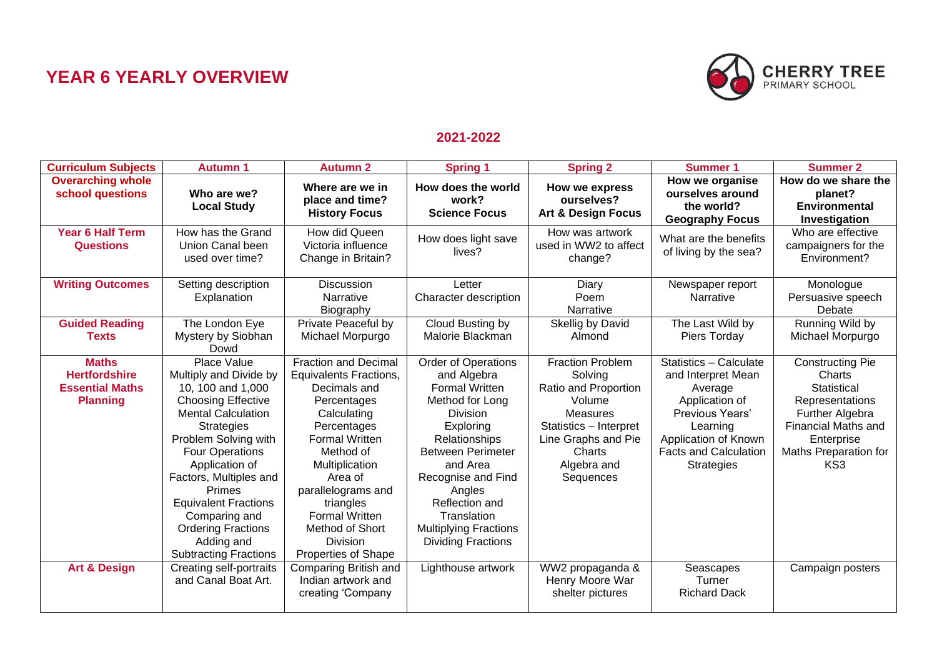## **YEAR 6 YEARLY OVERVIEW**



## **2021-2022**

| <b>Curriculum Subjects</b>                                                        | <b>Autumn 1</b>                                                                                                                                                                                                                                                                                                                                                                     | <b>Autumn 2</b>                                                                                                                                                                                                                                                                                         | <b>Spring 1</b>                                                                                                                                                                                                                                                                                       | <b>Spring 2</b>                                                                                                                                                         | <b>Summer 1</b>                                                                                                                                                                       | <b>Summer 2</b>                                                                                                                                                                       |
|-----------------------------------------------------------------------------------|-------------------------------------------------------------------------------------------------------------------------------------------------------------------------------------------------------------------------------------------------------------------------------------------------------------------------------------------------------------------------------------|---------------------------------------------------------------------------------------------------------------------------------------------------------------------------------------------------------------------------------------------------------------------------------------------------------|-------------------------------------------------------------------------------------------------------------------------------------------------------------------------------------------------------------------------------------------------------------------------------------------------------|-------------------------------------------------------------------------------------------------------------------------------------------------------------------------|---------------------------------------------------------------------------------------------------------------------------------------------------------------------------------------|---------------------------------------------------------------------------------------------------------------------------------------------------------------------------------------|
| <b>Overarching whole</b><br>school questions                                      | Who are we?<br><b>Local Study</b>                                                                                                                                                                                                                                                                                                                                                   | Where are we in<br>place and time?<br><b>History Focus</b>                                                                                                                                                                                                                                              | How does the world<br>work?<br><b>Science Focus</b>                                                                                                                                                                                                                                                   | How we express<br>ourselves?<br><b>Art &amp; Design Focus</b>                                                                                                           | How we organise<br>ourselves around<br>the world?<br><b>Geography Focus</b>                                                                                                           | How do we share the<br>planet?<br><b>Environmental</b><br>Investigation                                                                                                               |
| <b>Year 6 Half Term</b><br><b>Questions</b>                                       | How has the Grand<br>Union Canal been<br>used over time?                                                                                                                                                                                                                                                                                                                            | How did Queen<br>Victoria influence<br>Change in Britain?                                                                                                                                                                                                                                               | How does light save<br>lives?                                                                                                                                                                                                                                                                         | How was artwork<br>used in WW2 to affect<br>change?                                                                                                                     | What are the benefits<br>of living by the sea?                                                                                                                                        | Who are effective<br>campaigners for the<br>Environment?                                                                                                                              |
| <b>Writing Outcomes</b>                                                           | Setting description<br>Explanation                                                                                                                                                                                                                                                                                                                                                  | <b>Discussion</b><br>Narrative<br>Biography                                                                                                                                                                                                                                                             | Letter<br>Character description                                                                                                                                                                                                                                                                       | Diary<br>Poem<br>Narrative                                                                                                                                              | Newspaper report<br>Narrative                                                                                                                                                         | Monologue<br>Persuasive speech<br>Debate                                                                                                                                              |
| <b>Guided Reading</b><br><b>Texts</b>                                             | The London Eye<br>Mystery by Siobhan<br>Dowd                                                                                                                                                                                                                                                                                                                                        | Private Peaceful by<br>Michael Morpurgo                                                                                                                                                                                                                                                                 | Cloud Busting by<br>Malorie Blackman                                                                                                                                                                                                                                                                  | Skellig by David<br>Almond                                                                                                                                              | The Last Wild by<br>Piers Torday                                                                                                                                                      | Running Wild by<br>Michael Morpurgo                                                                                                                                                   |
| <b>Maths</b><br><b>Hertfordshire</b><br><b>Essential Maths</b><br><b>Planning</b> | Place Value<br>Multiply and Divide by<br>10, 100 and 1,000<br><b>Choosing Effective</b><br><b>Mental Calculation</b><br><b>Strategies</b><br>Problem Solving with<br><b>Four Operations</b><br>Application of<br>Factors, Multiples and<br><b>Primes</b><br><b>Equivalent Fractions</b><br>Comparing and<br><b>Ordering Fractions</b><br>Adding and<br><b>Subtracting Fractions</b> | <b>Fraction and Decimal</b><br>Equivalents Fractions,<br>Decimals and<br>Percentages<br>Calculating<br>Percentages<br><b>Formal Written</b><br>Method of<br>Multiplication<br>Area of<br>parallelograms and<br>triangles<br><b>Formal Written</b><br>Method of Short<br>Division<br>Properties of Shape | Order of Operations<br>and Algebra<br><b>Formal Written</b><br>Method for Long<br><b>Division</b><br>Exploring<br>Relationships<br><b>Between Perimeter</b><br>and Area<br>Recognise and Find<br>Angles<br>Reflection and<br>Translation<br><b>Multiplying Fractions</b><br><b>Dividing Fractions</b> | <b>Fraction Problem</b><br>Solving<br>Ratio and Proportion<br>Volume<br>Measures<br>Statistics - Interpret<br>Line Graphs and Pie<br>Charts<br>Algebra and<br>Sequences | Statistics - Calculate<br>and Interpret Mean<br>Average<br>Application of<br>Previous Years'<br>Learning<br>Application of Known<br><b>Facts and Calculation</b><br><b>Strategies</b> | <b>Constructing Pie</b><br>Charts<br>Statistical<br>Representations<br><b>Further Algebra</b><br><b>Financial Maths and</b><br>Enterprise<br>Maths Preparation for<br>KS <sub>3</sub> |
| <b>Art &amp; Design</b>                                                           | <b>Creating self-portraits</b><br>and Canal Boat Art.                                                                                                                                                                                                                                                                                                                               | Comparing British and<br>Indian artwork and<br>creating 'Company                                                                                                                                                                                                                                        | Lighthouse artwork                                                                                                                                                                                                                                                                                    | WW2 propaganda &<br>Henry Moore War<br>shelter pictures                                                                                                                 | Seascapes<br>Turner<br><b>Richard Dack</b>                                                                                                                                            | Campaign posters                                                                                                                                                                      |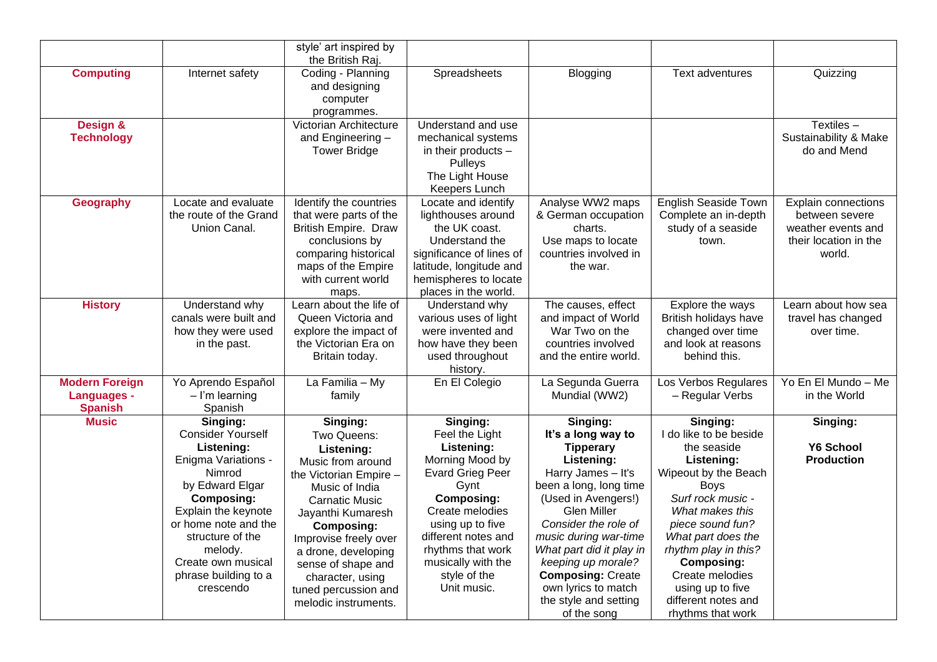|                                                               |                                                                                                                                                                                                                                                                      | style' art inspired by<br>the British Raj.                                                                                                                                                                                                                                                                          |                                                                                                                                                                                                                                                             |                                                                                                                                                                                                                                                                                                                                                             |                                                                                                                                                                                                                                                                                                                          |                                                                                                       |
|---------------------------------------------------------------|----------------------------------------------------------------------------------------------------------------------------------------------------------------------------------------------------------------------------------------------------------------------|---------------------------------------------------------------------------------------------------------------------------------------------------------------------------------------------------------------------------------------------------------------------------------------------------------------------|-------------------------------------------------------------------------------------------------------------------------------------------------------------------------------------------------------------------------------------------------------------|-------------------------------------------------------------------------------------------------------------------------------------------------------------------------------------------------------------------------------------------------------------------------------------------------------------------------------------------------------------|--------------------------------------------------------------------------------------------------------------------------------------------------------------------------------------------------------------------------------------------------------------------------------------------------------------------------|-------------------------------------------------------------------------------------------------------|
| <b>Computing</b>                                              | Internet safety                                                                                                                                                                                                                                                      | Coding - Planning<br>and designing<br>computer<br>programmes.                                                                                                                                                                                                                                                       | Spreadsheets                                                                                                                                                                                                                                                | Blogging                                                                                                                                                                                                                                                                                                                                                    | Text adventures                                                                                                                                                                                                                                                                                                          | Quizzing                                                                                              |
| Design &<br><b>Technology</b>                                 |                                                                                                                                                                                                                                                                      | Victorian Architecture<br>and Engineering -<br><b>Tower Bridge</b>                                                                                                                                                                                                                                                  | Understand and use<br>mechanical systems<br>in their products -<br>Pulleys<br>The Light House<br>Keepers Lunch                                                                                                                                              |                                                                                                                                                                                                                                                                                                                                                             |                                                                                                                                                                                                                                                                                                                          | Textiles $-$<br>Sustainability & Make<br>do and Mend                                                  |
| Geography                                                     | Locate and evaluate<br>the route of the Grand<br>Union Canal.                                                                                                                                                                                                        | Identify the countries<br>that were parts of the<br><b>British Empire. Draw</b><br>conclusions by<br>comparing historical<br>maps of the Empire<br>with current world<br>maps.                                                                                                                                      | Locate and identify<br>lighthouses around<br>the UK coast.<br>Understand the<br>significance of lines of<br>latitude, longitude and<br>hemispheres to locate<br>places in the world.                                                                        | Analyse WW2 maps<br>& German occupation<br>charts.<br>Use maps to locate<br>countries involved in<br>the war.                                                                                                                                                                                                                                               | <b>English Seaside Town</b><br>Complete an in-depth<br>study of a seaside<br>town.                                                                                                                                                                                                                                       | <b>Explain connections</b><br>between severe<br>weather events and<br>their location in the<br>world. |
| <b>History</b>                                                | Understand why<br>canals were built and<br>how they were used<br>in the past.                                                                                                                                                                                        | Learn about the life of<br>Queen Victoria and<br>explore the impact of<br>the Victorian Era on<br>Britain today.                                                                                                                                                                                                    | Understand why<br>various uses of light<br>were invented and<br>how have they been<br>used throughout<br>history.                                                                                                                                           | The causes, effect<br>and impact of World<br>War Two on the<br>countries involved<br>and the entire world.                                                                                                                                                                                                                                                  | Explore the ways<br>British holidays have<br>changed over time<br>and look at reasons<br>behind this.                                                                                                                                                                                                                    | Learn about how sea<br>travel has changed<br>over time.                                               |
| <b>Modern Foreign</b><br><b>Languages -</b><br><b>Spanish</b> | Yo Aprendo Español<br>$-$ I'm learning<br>Spanish                                                                                                                                                                                                                    | La Familia - My<br>family                                                                                                                                                                                                                                                                                           | En El Colegio                                                                                                                                                                                                                                               | La Segunda Guerra<br>Mundial (WW2)                                                                                                                                                                                                                                                                                                                          | Los Verbos Regulares<br>- Regular Verbs                                                                                                                                                                                                                                                                                  | Yo En El Mundo - Me<br>in the World                                                                   |
| <b>Music</b>                                                  | Singing:<br><b>Consider Yourself</b><br>Listening:<br>Enigma Variations -<br>Nimrod<br>by Edward Elgar<br><b>Composing:</b><br>Explain the keynote<br>or home note and the<br>structure of the<br>melody.<br>Create own musical<br>phrase building to a<br>crescendo | Singing:<br>Two Queens:<br>Listening:<br>Music from around<br>the Victorian Empire -<br>Music of India<br><b>Carnatic Music</b><br>Jayanthi Kumaresh<br><b>Composing:</b><br>Improvise freely over<br>a drone, developing<br>sense of shape and<br>character, using<br>tuned percussion and<br>melodic instruments. | Singing:<br>Feel the Light<br>Listening:<br>Morning Mood by<br><b>Evard Grieg Peer</b><br>Gynt<br><b>Composing:</b><br>Create melodies<br>using up to five<br>different notes and<br>rhythms that work<br>musically with the<br>style of the<br>Unit music. | Singing:<br>It's a long way to<br><b>Tipperary</b><br>Listening:<br>Harry James - It's<br>been a long, long time<br>(Used in Avengers!)<br><b>Glen Miller</b><br>Consider the role of<br>music during war-time<br>What part did it play in<br>keeping up morale?<br><b>Composing: Create</b><br>own lyrics to match<br>the style and setting<br>of the song | Singing:<br>I do like to be beside<br>the seaside<br>Listening:<br>Wipeout by the Beach<br><b>Boys</b><br>Surf rock music -<br>What makes this<br>piece sound fun?<br>What part does the<br>rhythm play in this?<br><b>Composing:</b><br>Create melodies<br>using up to five<br>different notes and<br>rhythms that work | Singing:<br><b>Y6 School</b><br><b>Production</b>                                                     |